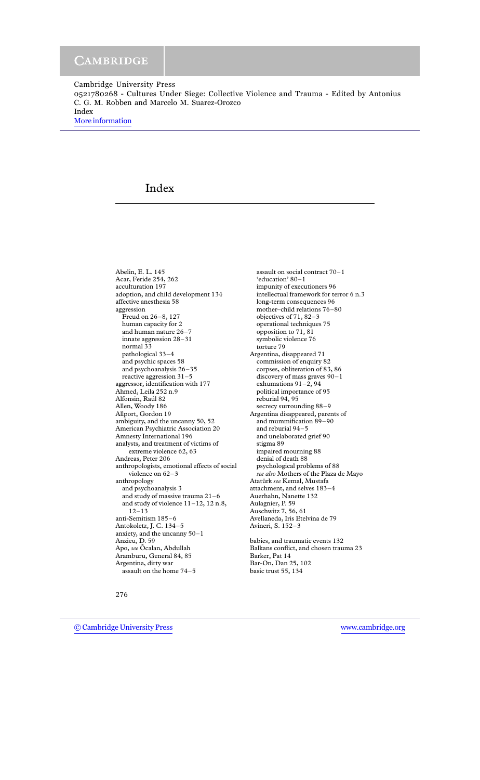0521780268 - Cultures Under Siege: Collective Violence and Trauma - Edited by Antonius C. G. M. Robben and Marcelo M. Suarez-Orozco Index

[More information](http://www.cambridge.org/0521780268)

# Index

Abelin, E. L. 145 Acar, Feride 254, 262 acculturation 197 adoption, and child development 134 affective anesthesia 58 aggression Freud on 26–8, 127 human capacity for 2 and human nature 26–7 innate aggression 28-31 normal 33 pathological 33-4 and psychic spaces 58 and psychoanalysis  $26-35$ reactive aggression  $31-5$ aggressor, identification with 177 Ahmed, Leila 252 n.9 Alfonsin, Raúl 82 Allen, Woody 186 Allport, Gordon 19 ambiguity, and the uncanny 50, 52 American Psychiatric Association 20 Amnesty International 196 analysts, and treatment of victims of extreme violence 62, 63 Andreas, Peter 206 anthropologists, emotional effects of social violence on  $62-3$ anthropology and psychoanalysis 3 and study of massive trauma  $21$ –6 and study of violence  $11-12$ ,  $12$  n.8,  $12 - 13$ anti-Semitism 185–6 Antokoletz, J. C. 134-5 anxiety, and the uncanny  $50 - 1$ Anzieu, D. 59 Apo, see Õcalan, Abdullah Aramburu, General 84, 85 Argentina, dirty war assault on the home 74–5

assault on social contract 70-1 'education' 80-1 impunity of executioners 96 intellectual framework for terror 6 n.3 long-term consequences 96 mother-child relations 76-80 objectives of  $71, 82-3$ operational techniques 75 opposition to 71, 81 symbolic violence 76 torture 79 Argentina, disappeared 71 commission of enquiry 82 corpses, obliteration of 83, 86 discovery of mass graves  $90-1$ exhumations 91-2, 94 political importance of 95 reburial 94, 95 secrecy surrounding 88–9 Argentina disappeared, parents of and mummification 89–90 and reburial 94–5 and unelaborated grief 90 stigma 89 impaired mourning 88 denial of death 88 psychological problems of 88 see also Mothers of the Plaza de Mayo Atatürk *see* Kemal, Mustafa attachment, and selves 183-4 Auerhahn, Nanette 132 Aulagnier, P. 59 Auschwitz 7, 56, 61 Avellaneda, Iris Etelvina de 79 Avineri, S. 152–3 babies, and traumatic events 132

Balkans conflict, and chosen trauma 23 Barker, Pat 14 Bar-On, Dan 25, 102 basic trust 55, 134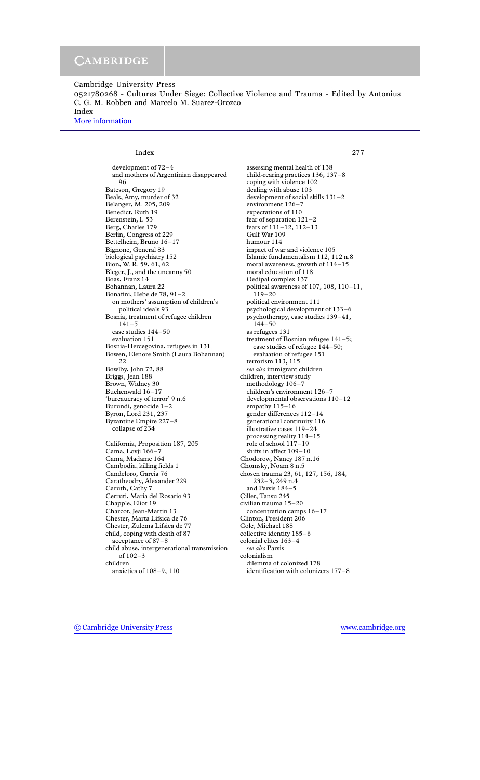0521780268 - Cultures Under Siege: Collective Violence and Trauma - Edited by Antonius C. G. M. Robben and Marcelo M. Suarez-Orozco Index

More information

Index

2.77

development of 72-4 and mothers of Argentinian disappeared 96 Bateson, Gregory 19 Beals, Amy, murder of 32 Belanger, M. 205, 209 Benedict, Ruth 19 Berenstein, I. 53 Berg, Charles 179 Berlin, Congress of 229 Bettelheim, Bruno 16-17 Bignone, General 83 biological psychiatry 152 Bion, W. R. 59, 61, 62 Bleger, J., and the uncanny 50 Boas, Franz 14 Bohannan, Laura 22 Bonafini, Hebe de 78, 91-2 on mothers' assumption of children's political ideals 93 Bosnia, treatment of refugee children  $141 - 5$ case studies 144-50 evaluation 151 Bosnia-Hercegovina, refugees in 131 Bowen, Elenore Smith (Laura Bohannan)  $2.2$ Bowlby, John 72, 88 Briggs, Jean 188 Brown, Widney 30 Buchenwald 16-17 'bureaucracy of terror' 9 n.6 Burundi, genocide  $1-2$ Byron, Lord 231, 237 Byzantine Empire 227-8 collapse of 234 California, Proposition 187, 205 Cama, Lovji 166-7 Cama, Madame 164 Cambodia, killing fields 1 Candeloro, Garcia 76 Caratheodry, Alexander 229 Caruth, Cathy 7 Cerruti, Maria del Rosario 93 Chapple, Eliot 19 Charcot, Jean-Martin 13 Chester, Marta Lifsica de 76

Chester, Zulema Lifsica de 77 child, coping with death of 87 acceptance of 87-8 child abuse, intergenerational transmission of 102-3 children anxieties of 108-9, 110

assessing mental health of 138 child-rearing practices 136, 137-8 coping with violence 102 dealing with abuse 103 development of social skills 131-2 environment 126-7 expectations of 110 fear of separation  $121-2$ fears of 111-12, 112-13 Gulf War 109 humour 114 impact of war and violence 105 Islamic fundamentalism 112, 112 n.8 moral awareness, growth of 114-15 moral education of 118 Oedipal complex 137 political awareness of 107, 108, 110-11,  $119 - 20$ political environment 111 psychological development of 133-6 psychotherapy, case studies 139-41,  $144 - 50$ as refugees 131 treatment of Bosnian refugee 141-5; case studies of refugee 144-50; evaluation of refugee 151 terrorism 113, 115 see also immigrant children children, interview study methodology 106-7 children's environment 126-7 developmental observations 110-12 empathy  $115-16$ gender differences 112-14 generational continuity 116 illustrative cases 119-24 processing reality  $114-15$ role of school 117-19 shifts in affect 109-10 Chodorow, Nancy 187 n.16 Chomsky, Noam 8 n.5 chosen trauma 23, 61, 127, 156, 184,  $232 - 3$ , 249 n.4 and Parsis 184-5 Ciller, Tansu 245 civilian trauma 15-20 concentration camps 16-17 Clinton, President 206 Cole, Michael 188 collective identity 185-6 colonial elites 163-4 see also Parsis colonialism dilemma of colonized 178 identification with colonizers 177-8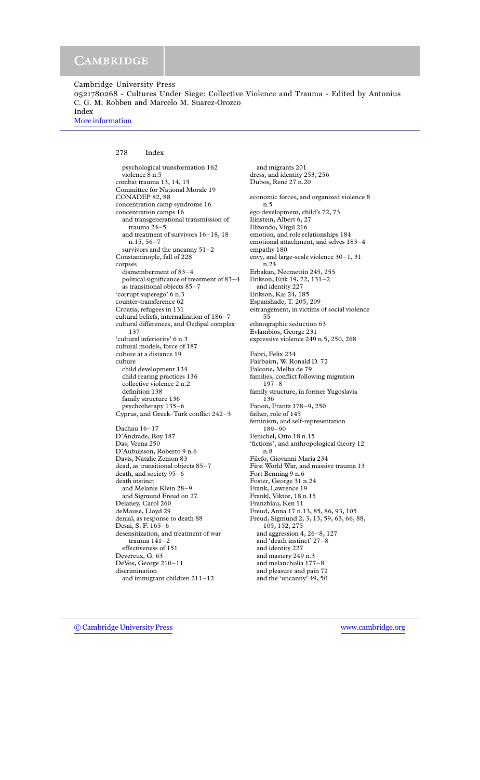0521780268 - Cultures Under Siege: Collective Violence and Trauma - Edited by Antonius C. G. M. Robben and Marcelo M. Suarez-Orozco

More information

#### 278 Index

psychological transformation 162 violence 8 n.5 combat trauma 13, 14, 15 Committee for National Morale 19 CONADEP 82, 88 concentration camp syndrome 16 concentration camps 16 and transgenerational transmission of trauma  $24-5$ and treatment of survivors  $16-18$ , 18  $n.15, 56 - 7$ survivors and the uncanny  $51-2$ Constantinople, fall of 228 corpses dismemberment of 83-4 political significance of treatment of 83-4 as transitional objects 85-7 'corrupt superego' 6 n.3 counter-transference 62 Croatia, refugees in 131 cultural beliefs, internalization of 186-7 cultural differences, and Oedipal complex 137 'cultural inferiority' 6 n.3 cultural models, force of 187 culture at a distance 19 culture child development 134 child rearing practices 136 collective violence 2 n.2 definition 138 family structure 136 psychotherapy 135-6 Cyprus, and Greek-Turk conflict 242-3 Dachau 16-17 D'Andrade, Roy 187 Das, Veena 250 D'Aubuisson, Roberto 9 n.6 Davis, Natalie Zemon 83 dead, as transitional objects 85-7 death, and society 95-6 death instinct and Melanie Klein 28-9 and Sigmund Freud on 27 Delaney, Carol 260 deMause, Lloyd 29 denial, as response to death 88 Desai, S. F. 165-6 desensitization, and treatment of war trauma  $141-2$ effectiveness of 151 Devereux, G. 63 DeVos, George 210-11 discrimination and immigrant children  $211-12$ 

and migrants 201 dress, and identity 253, 256 Dubos, René 27 n.20 economic forces, and organized violence 8  $n.5$ ego development, child's 72, 73 Einstein, Albert 6, 27 Elizondo, Virgil 216 emotion, and role relationships 184 emotional attachment, and selves 183-4 empathy 180 envy, and large-scale violence  $30-1$ , 31  $n.24$ Erbakan, Necmettin 245, 255 Erikson, Erik 19, 72, 131-2 and identity 227 Erikson, Kai 24, 185 Espanshade, T. 205, 209 estrangement, in victims of social violence 55 ethnographic seduction 63 Evlambios, George 231 expressive violence 249 n.5, 250, 268 Fabri, Felix 234 Fairbairn, W. Ronald D. 72 Falcone, Melba de 79 families, conflict following migration  $197 - 8$ family structure, in former Yugoslavia 136 Fanon, Frantz 178-9, 250 father, role of 145 feminism, and self-representation  $189 - 90$ Fenichel, Otto 18 n.15 'fictions', and anthropological theory 12  $n.8$ Filefo, Giovanni Maria 234 First World War, and massive trauma 13 Fort Benning 9 n.6 Foster, George 31 n.24 Frank, Lawrence 19 Frankl, Viktor, 18 n.15 Franzblau, Ken 11 Freud, Anna 17 n.13, 85, 86, 93, 105 Freud, Sigmund 2, 3, 13, 59, 63, 66, 88, 105, 152, 275 and aggression  $4, 26-8, 127$ and 'death instinct' 27-8 and identity 227 and mastery 249 n.3 and melancholia 177-8 and pleasure and pain 72 and the 'uncanny' 49, 50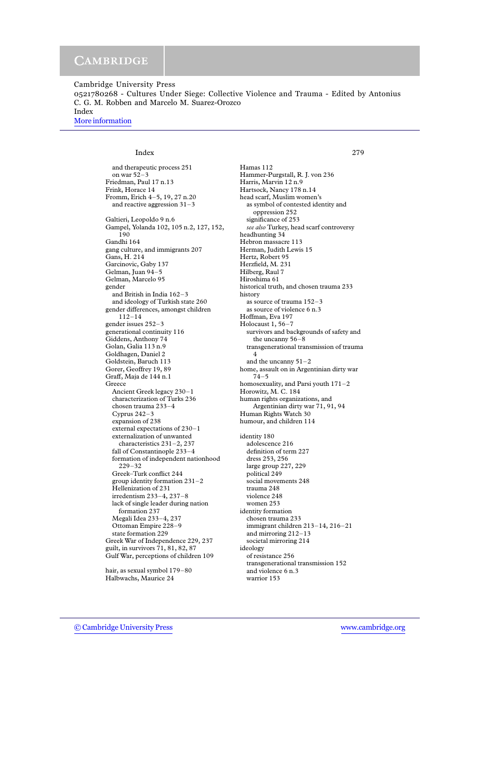0521780268 - Cultures Under Siege: Collective Violence and Trauma - Edited by Antonius C. G. M. Robben and Marcelo M. Suarez-Orozco Index

More information

## Index

and therapeutic process 251 on war  $52-3$ Friedman, Paul 17 n.13 Frink, Horace 14 Fromm, Erich 4-5, 19, 27 n.20 and reactive aggression  $31-3$ Galtieri, Leopoldo 9 n.6 Gampel, Yolanda 102, 105 n.2, 127, 152, 190 Gandhi 164 gang culture, and immigrants 207 Gans, H. 214 Garcinovic, Gaby 137 Gelman, Juan 94-5 Gelman, Marcelo 95 gender and British in India 162-3 and ideology of Turkish state 260 gender differences, amongst children  $112 - 14$ gender issues 252-3 generational continuity 116 Giddens, Anthony 74 Golan, Galia 113 n.9 Goldhagen, Daniel 2 Goldstein, Baruch 113 Gorer, Geoffrey 19, 89 Graff, Maja de 144 n.1 Greece Ancient Greek legacy 230-1 characterization of Turks 236 chosen trauma 233-4 Cyprus  $242-3$ expansion of 238 external expectations of 230-1 externalization of unwanted characteristics  $231-2$ ,  $237$ fall of Constantinople 233-4 formation of independent nationhood  $229 - 32$ Greek-Turk conflict 244 group identity formation  $231-2$ Hellenization of 231 irredentism 233-4, 237-8 lack of single leader during nation formation 237 Megali Idea 233-4, 237 Ottoman Empire 228-9 state formation 229 Greek War of Independence 229, 237 guilt, in survivors 71, 81, 82, 87 Gulf War, perceptions of children 109

hair, as sexual symbol 179-80 Halbwachs, Maurice 24

Hamas 112 Hammer-Purgstall, R. J. von 236 Harris, Marvin 12 n.9 Hartsock, Nancy 178 n.14 head scarf, Muslim women's as symbol of contested identity and oppression 252 significance of 253 see also Turkey, head scarf controversy headhunting 34 Hebron massacre 113 Herman, Judith Lewis 15 Hertz, Robert 95 Herzfield, M. 231 Hilberg, Raul 7 Hiroshima 61 historical truth, and chosen trauma 233 history as source of trauma 152-3 as source of violence 6 n.3 Hoffman, Eva 197 Holocaust 1, 56-7 survivors and backgrounds of safety and the uncanny 56-8 transgenerational transmission of trauma  $\overline{4}$ and the uncanny  $51-2$ home, assault on in Argentinian dirty war  $74 - 5$ homosexuality, and Parsi youth  $171-2$ Horowitz, M. C. 184 human rights organizations, and Argentinian dirty war 71, 91, 94 Human Rights Watch 30 humour, and children 114 identity 180 adolescence 216 definition of term 227 dress 253, 256 large group 227, 229 political 249 social movements 248 trauma 248 violence 248 women 253 identity formation chosen trauma 233

immigrant children 213-14, 216-21 and mirroring  $212-13$ societal mirroring 214 ideology of resistance 256 transgenerational transmission 152 and violence 6 n.3

warrior 153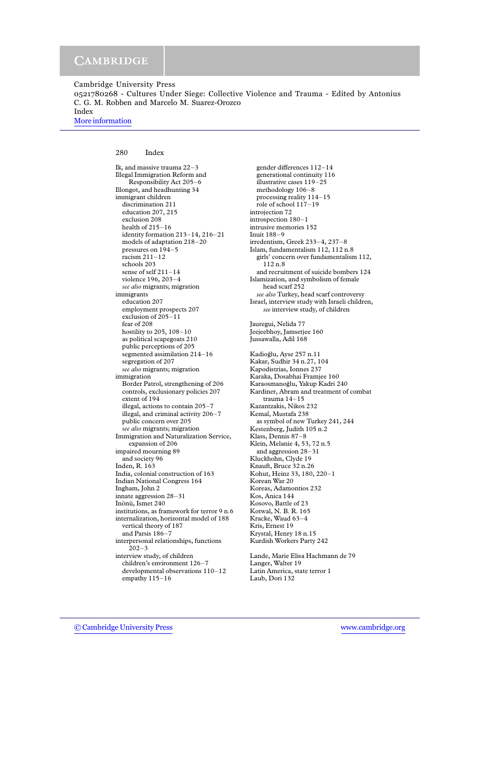0521780268 - Cultures Under Siege: Collective Violence and Trauma - Edited by Antonius C. G. M. Robben and Marcelo M. Suarez-Orozco Index

More information

280 Index

Ik, and massive trauma 22-3 Illegal Immigration Reform and Responsibility Act 205-6 Illongot, and headhunting 34 immigrant children discrimination 211 education 207, 215 exclusion 208 health of 215-16 identity formation 213-14, 216-21 models of adaptation 218-20 pressures on 194-5 racism  $211-12$ schools 203 sense of self  $211 - 14$ violence 196, 203-4 see also migrants; migration immigrants education 207 employment prospects 207 exclusion of  $205 - 11$ fear of 208 hostility to 205, 108-10 as political scapegoats 210 public perceptions of 205 segmented assimilation 214-16 segregation of 207 see also migrants; migration immigration Border Patrol, strengthening of 206 controls, exclusionary policies 207 extent of 194 illegal, actions to contain 205-7 illegal, and criminal activity 206-7 public concern over 205 see also migrants; migration Immigration and Naturalization Service, expansion of 206 impaired mourning 89 and society 96 Inden, R. 163 India, colonial construction of 163 Indian National Congress 164 Ingham, John 2 innate aggression 28-31 Inönü, Ismet 240 institutions, as framework for terror 9 n.6 internalization, horizontal model of 188 vertical theory of 187 and Parsis 186-7 interpersonal relationships, functions  $202 - 3$ interview study, of children children's environment  $126-7$ developmental observations 110-12 empathy  $115-16$ 

gender differences 112-14 generational continuity 116 illustrative cases 119-25 methodology 106-8 processing reality 114-15 role of school 117-19 introjection 72 introspection 180-1 intrusive memories 152 Inuit 188-9 irredentism, Greek 233-4, 237-8 Islam, fundamentalism 112, 112 n.8 girls' concern over fundamentalism 112,  $112n.8$ and recruitment of suicide bombers 124 Islamization, and symbolism of female head scarf 252 see also Turkey, head scarf controversy Israel, interview study with Israeli children, see interview study, of children Jauregui, Nelida 77 Jeejeebhoy, Jamsetjee 160 Jussawalla, Adil 168 Kadioğlu, Ayse 257 n.11 Kakar, Sudhir 34 n.27, 104 Kapodistrias, Ionnes 237 Karaka, Dosabhai Framiee 160 Karaosmanoğlu, Yakup Kadri 240 Kardiner, Abram and treatment of combat trauma  $14-15$ Kazantzakis, Nikos 232 Kemal, Mustafa 238 as symbol of new Turkey 241, 244 Kestenberg, Judith 105 n.2 Klass, Dennis 87-8 Klein, Melanie 4, 53, 72 n.5 and aggression 28-31 Kluckhohn, Clyde 19 Knauft, Bruce 32 n.26 Kohut, Heinz 33, 180, 220-1 Korean War 20 Koreas, Adamontios 232 Kos, Anica 144 Kosovo, Battle of 23 Kotwal, N. B. R. 165 Kracke, Waud 63-4 Kris, Ernest 19 Krystal, Henry 18 n.15 Kurdish Workers Party 242 Lande, Marie Elisa Hachmann de 79 Langer, Walter 19

Latin America, state terror 1

Laub, Dori 132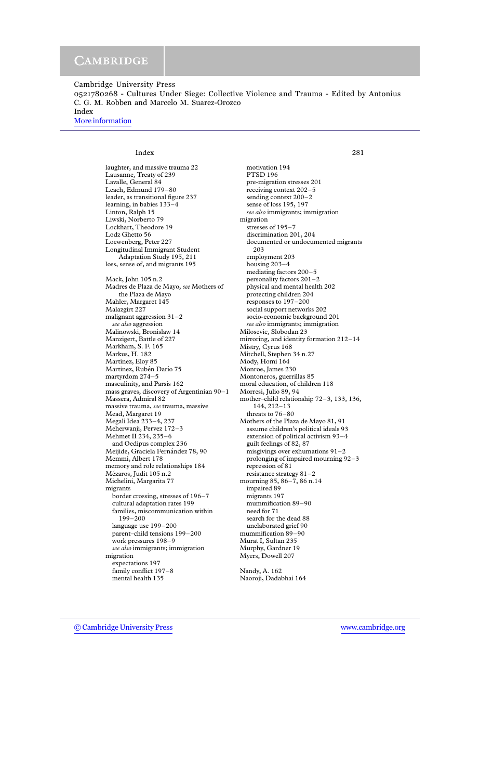0521780268 - Cultures Under Siege: Collective Violence and Trauma - Edited by Antonius C. G. M. Robben and Marcelo M. Suarez-Orozco Index

More information

### Index

laughter, and massive trauma 22 Lausanne, Treaty of 239 Lavalle, General 84 Leach, Edmund 179-80 leader, as transitional figure 237 learning, in babies 133-4 Linton, Ralph 15 Liwski, Norberto 79 Lockhart, Theodore 19 Lodz Ghetto 56 Loewenberg, Peter 227 Longitudinal Immigrant Student Adaptation Study 195, 211 loss, sense of, and migrants 195 Mack, John 105 n.2 Madres de Plaza de Mayo, see Mothers of the Plaza de Mayo Mahler, Margaret 145 Malazgirt 227 malignant aggression  $31-2$ see also aggression Malinowski, Bronislaw 14 Manzigert, Battle of 227 Markham, S. F. 165 Markus, H. 182 Martínez, Eloy 85 Martinez, Rubén Darío 75 martyrdom 274-5 masculinity, and Parsis 162 mass graves, discovery of Argentinian 90-1 Massera, Admiral 82 massive trauma, see trauma, massive Mead, Margaret 19 Megali Idea 233-4, 237 Meherwanji, Pervez 172-3 Mehmet II 234, 235-6 and Oedipus complex 236 Meijide, Graciela Fernández 78, 90 Memmi, Albert 178 memory and role relationships 184 Mézaros, Judit 105 n.2 Michelini, Margarita 77 migrants border crossing, stresses of 196-7 cultural adaptation rates 199 families, miscommunication within  $199 - 200$ language use 199-200 parent-child tensions 199-200 work pressures 198-9 see also immigrants; immigration migration expectations 197 family conflict 197-8 mental health 135

motivation 194 **PTSD 196** pre-migration stresses 201 receiving context 202-5 sending context 200-2 sense of loss 195, 197 see also immigrants; immigration migration stresses of 195-7 discrimination 201, 204 documented or undocumented migrants 203 employment 203 housing  $203-4$ mediating factors 200-5 personality factors 201-2 physical and mental health 202 protecting children 204 responses to 197-200 social support networks 202 socio-economic background 201 see also immigrants; immigration Milosevic, Slobodan 23 mirroring, and identity formation 212-14 Mistry, Cyrus 168 Mitchell, Stephen 34 n.27 Mody, Homi 164 Monroe, James 230 Montoneros, guerrillas 85 moral education, of children 118 Morresi, Julio 89, 94 mother-child relationship 72-3, 133, 136,  $144, 212 - 13$ threats to 76-80 Mothers of the Plaza de Mayo 81, 91 assume children's political ideals 93 extension of political activism 93-4 guilt feelings of 82, 87 misgivings over exhumations  $91-2$ prolonging of impaired mourning  $92-3$ repression of 81 resistance strategy  $81-2$ mourning 85, 86-7, 86 n.14 impaired 89 migrants 197 mummification 89-90 need for 71 search for the dead 88 unelaborated grief 90 mummification 89-90 Murat I, Sultan 235 Murphy, Gardner 19 Myers, Dowell 207

281

Nandy, A. 162 Naoroji, Dadabhai 164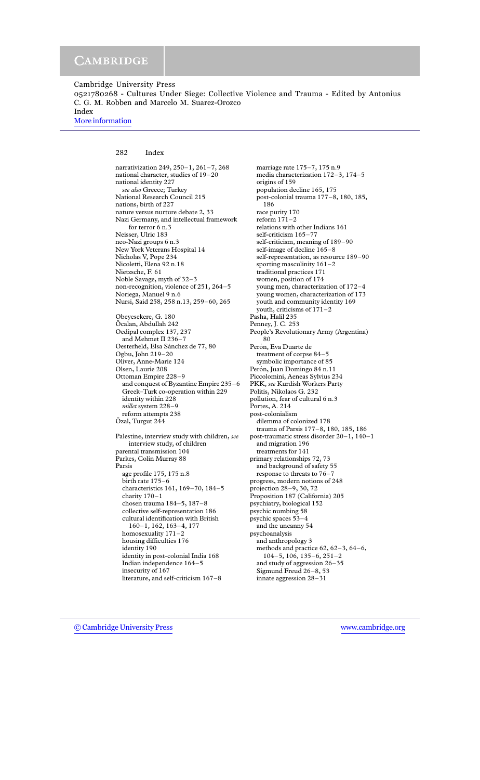0521780268 - Cultures Under Siege: Collective Violence and Trauma - Edited by Antonius C. G. M. Robben and Marcelo M. Suarez-Orozco

More information

282 Index

narrativization 249, 250-1, 261-7, 268 national character, studies of 19-20 national identity 227 see also Greece; Turkey National Research Council 215 nations, birth of 227 nature versus nurture debate 2, 33 Nazi Germany, and intellectual framework for terror 6 n.3 Neisser, Ulric 183 neo-Nazi groups 6 n.3 New York Veterans Hospital 14 Nicholas V, Pope 234 Nicoletti, Elena 92 n.18 Nietzsche, F. 61 Noble Savage, myth of 32-3 non-recognition, violence of 251, 264-5 Noriega, Manuel 9 n.6 Nursi, Said 258, 258 n.13, 259-60, 265 Obeyesekere, G. 180 Öcalan, Abdullah 242 Oedipal complex 137, 237 and Mehmet II 236-7 Oesterheld, Elsa Sánchez de 77, 80 Ogbu, John 219-20 Oliver, Anne-Marie 124 Olsen, Laurie 208 Ottoman Empire 228-9 and conquest of Byzantine Empire 235-6 Greek-Turk co-operation within 229 identity within 228 millet system 228-9 reform attempts 238 Ozal, Turgut 244 Palestine, interview study with children, see interview study, of children parental transmission 104 Parkes, Colin Murray 88 Parsis age profile 175, 175 n.8 birth rate 175-6 characteristics 161, 169-70, 184-5 charity 170-1 chosen trauma  $184-5$ ,  $187-8$ collective self-representation 186 cultural identification with British  $160-1$ , 162, 163-4, 177 homosexuality  $171-2$ housing difficulties 176 identity 190 identity in post-colonial India 168 Indian independence  $164-5$ insecurity of 167

literature, and self-criticism 167-8

marriage rate 175-7, 175 n.9 media characterization 172-3, 174-5 origins of 159 population decline 165, 175 post-colonial trauma 177-8, 180, 185, 186 race purity 170 reform  $171-2$ relations with other Indians 161 self-criticism 165-77 self-criticism, meaning of 189-90 self-image of decline 165-8 self-representation, as resource 189-90 sporting masculinity  $161-2$ traditional practices 171 women, position of 174 young men, characterization of 172-4 young women, characterization of 173 youth and community identity 169 youth, criticisms of 171-2 Pasha, Halil 235 Penney, J. C. 253 People's Revolutionary Army (Argentina) 80 Perón, Eva Duarte de treatment of corpse 84-5 symbolic importance of 85 Perón, Juan Domingo 84 n.11 Piccolomini, Aeneas Sylvius 234 PKK, see Kurdish Workers Party Politis, Nikolaos G. 232 pollution, fear of cultural 6 n.3 Portes, A. 214 post-colonialism dilemma of colonized 178 trauma of Parsis 177-8, 180, 185, 186 post-traumatic stress disorder 20-1, 140-1 and migration 196 treatments for 141 primary relationships 72, 73 and background of safety 55 response to threats to 76-7 progress, modern notions of 248 projection 28-9, 30, 72 Proposition 187 (California) 205 psychiatry, biological 152 psychic numbing 58 psychic spaces 53-4 and the uncanny 54 psychoanalysis and anthropology 3 methods and practice  $62$ ,  $62-3$ ,  $64-6$ ,  $104-5$ , 106, 135-6, 251-2 and study of aggression  $26 - 35$ Sigmund Freud 26-8, 53 innate aggression 28-31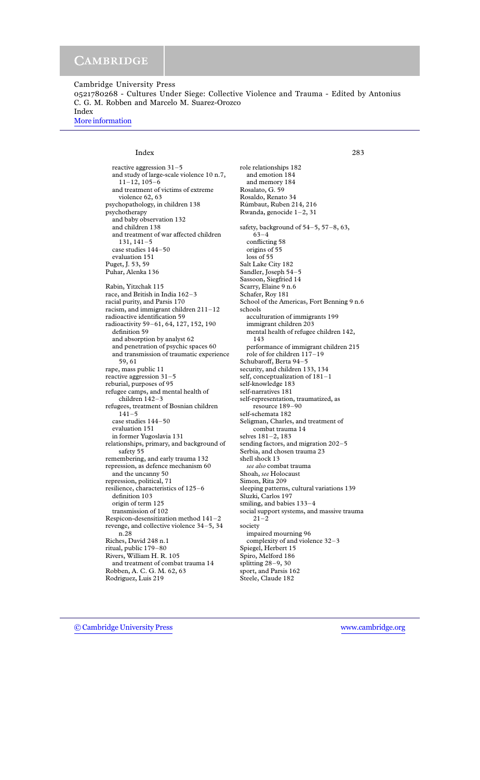0521780268 - Cultures Under Siege: Collective Violence and Trauma - Edited by Antonius C. G. M. Robben and Marcelo M. Suarez-Orozco Index

More information

Index

reactive aggression  $31-5$ and study of large-scale violence 10 n.7,  $11 - 12$ ,  $105 - 6$ and treatment of victims of extreme violence 62, 63 psychopathology, in children 138 psychotherapy and baby observation 132 and children 138 and treatment of war affected children  $131, 141 - 5$ case studies 144-50 evaluation 151 Puget, J. 53, 59 Puhar, Alenka 136 Rabin, Yitzchak 115 race, and British in India 162-3 racial purity, and Parsis 170 racism, and immigrant children 211-12 radioactive identification 59 radioactivity 59-61, 64, 127, 152, 190 definition 59 and absorption by analyst 62 and penetration of psychic spaces 60 and transmission of traumatic experience 59,61 rape, mass public 11 reactive aggression  $31-5$ reburial, purposes of 95 refugee camps, and mental health of children 142-3 refugees, treatment of Bosnian children  $141 - 5$ case studies 144-50 evaluation 151 in former Yugoslavia 131 relationships, primary, and background of safety 55 remembering, and early trauma 132 repression, as defence mechanism 60 and the uncanny 50 repression, political, 71 resilience, characteristics of 125-6 definition 103 origin of term 125 transmission of 102 Respicon-desensitization method 141-2 revenge, and collective violence 34-5, 34 n.28 Riches, David 248 n.1 ritual, public 179-80 Rivers, William H. R. 105 and treatment of combat trauma 14 Robben, A. C. G. M. 62, 63 Rodriguez, Luis 219

role relationships 182 and emotion 184 and memory 184 Rosalato, G. 59 Rosaldo, Renato 34 Rúmbaut, Ruben 214, 216 Rwanda, genocide 1-2, 31 safety, background of 54-5, 57-8, 63,  $63 - 4$ conflicting 58 origins of 55 loss of 55 Salt Lake City 182 Sandler, Joseph 54-5 Sassoon, Siegfried 14 Scarry, Elaine 9 n.6 Schafer, Roy 181 School of the Americas, Fort Benning 9 n.6 schools acculturation of immigrants 199 immigrant children 203 mental health of refugee children 142, 143 performance of immigrant children 215 role of for children 117-19 Schubaroff, Berta 94-5 security, and children 133, 134 self, conceptualization of 181-1 self-knowledge 183 self-narratives 181 self-representation, traumatized, as resource 189-90 self-schemata 182 Seligman, Charles, and treatment of combat trauma 14 selves 181-2, 183 sending factors, and migration 202-5 Serbia, and chosen trauma 23 shell shock 13 see also combat trauma Shoah, see Holocaust Simon, Rita 209 sleeping patterns, cultural variations 139 Sluzki, Carlos 197 smiling, and babies  $133-4$ social support systems, and massive trauma  $21 - 2$ society impaired mourning 96 complexity of and violence 32-3 Spiegel, Herbert 15 Spiro, Melford 186 splitting  $28-9$ , 30 sport, and Parsis 162 Steele, Claude 182

283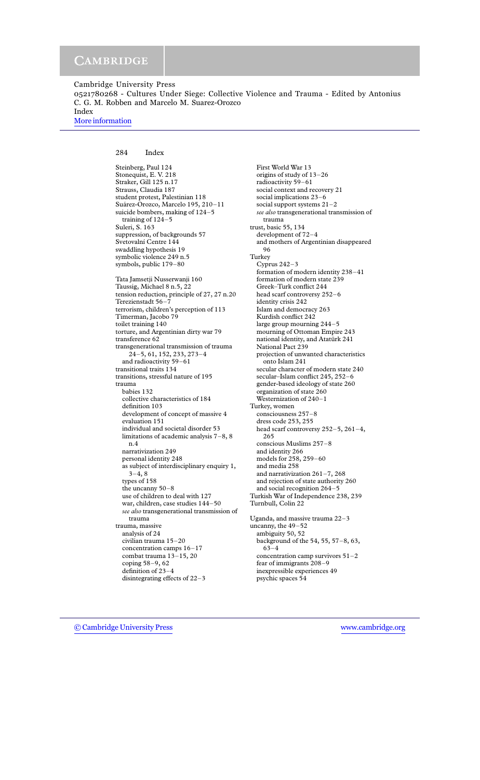0521780268 - Cultures Under Siege: Collective Violence and Trauma - Edited by Antonius C. G. M. Robben and Marcelo M. Suarez-Orozco Index

More information

#### 284 Index

Steinberg, Paul 124 Stonequist, E.V. 218 Straker, Gill 125 n.17 Strauss, Claudia 187 student protest, Palestinian 118 Suárez-Orozco, Marcelo 195, 210-11 suicide bombers, making of 124-5 training of  $124-5$ Suleri, S. 163 suppression, of backgrounds 57 Svetovalní Centre 144 swaddling hypothesis 19 symbolic violence 249 n.5 symbols, public 179-80 Tata Jamsetji Nusserwanji 160 Taussig, Michael 8 n.5, 22 tension reduction, principle of 27, 27 n.20 Terezienstadt 56-7 terrorism, children's perception of 113 Timerman, Jacobo 79 toilet training 140 torture, and Argentinian dirty war 79 transference 62 transgenerational transmission of trauma 24-5, 61, 152, 233, 273-4 and radioactivity 59-61 transitional traits 134 transitions, stressful nature of 195 trauma babies 132 collective characteristics of 184 definition 103 development of concept of massive 4 evaluation 151 individual and societal disorder 53 limitations of academic analysis  $7-8$ , 8  $n.4$ narrativization 249 personal identity 248 as subject of interdisciplinary enquiry 1,  $3-4, 8$ types of 158 the uncanny 50-8 use of children to deal with 127 war, children, case studies 144-50 see also transgenerational transmission of trauma trauma, massive analysis of 24 civilian trauma 15-20 concentration camps 16-17 combat trauma 13-15, 20 coping 58-9, 62 definition of 23-4 disintegrating effects of  $22-3$ 

First World War 13 origins of study of 13-26 radioactivity 59-61 social context and recovery 21 social implications 23-6 social support systems 21-2 see also transgenerational transmission of trauma trust, basic 55, 134 development of 72-4 and mothers of Argentinian disappeared 96 Turkey Cyprus  $242-3$ formation of modern identity 238-41 formation of modern state 239 Greek-Turk conflict 244 head scarf controversy 252-6 identity crisis 242 Islam and democracy 263 Kurdish conflict 242 large group mourning 244-5 mourning of Ottoman Empire 243 national identity, and Atatürk 241 National Pact 239 projection of unwanted characteristics onto Islam 241 secular character of modern state 240 secular-Islam conflict 245, 252-6 gender-based ideology of state 260 organization of state 260 Westernization of 240-1 Turkey, women consciousness 257-8 dress code 253, 255 head scarf controversy 252-5, 261-4, 265 conscious Muslims 257-8 and identity 266 models for 258, 259-60 and media 258 and narrativization  $261 - 7$ ,  $268$ and rejection of state authority 260 and social recognition 264-5 Turkish War of Independence 238, 239 Turnbull, Colin 22 Uganda, and massive trauma 22-3 uncanny, the 49-52 ambiguity 50, 52 background of the 54, 55, 57-8, 63,  $63 - 4$ concentration camp survivors  $51-2$ fear of immigrants  $208-9$ inexpressible experiences 49

psychic spaces 54